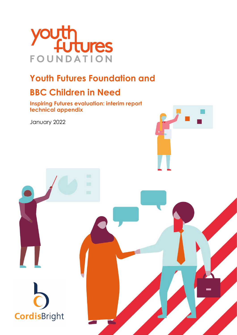

### **Youth Futures Foundation and**

### **BBC Children in Need**

**Inspiring Futures evaluation: interim report technical appendix**

January 2022

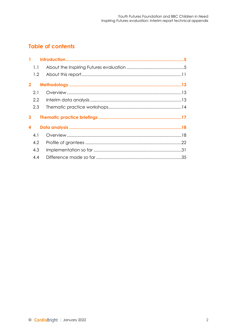### **Table of contents**

|                  | 1.1          |  |
|------------------|--------------|--|
|                  | 1.2          |  |
|                  | $\mathbf{2}$ |  |
|                  | 2.1          |  |
|                  | 2.2          |  |
|                  | 2.3          |  |
|                  |              |  |
| 3                |              |  |
| $\boldsymbol{4}$ |              |  |
|                  | 4.1          |  |
|                  | 4.2          |  |
|                  | 4.3          |  |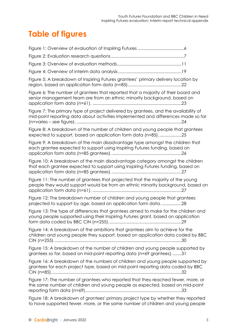### **Table of figures**

| Figure 5: A breakdown of Inspiring Futures grantees' primary delivery location by                                                                                         |
|---------------------------------------------------------------------------------------------------------------------------------------------------------------------------|
| Figure 6: The number of grantees that reported that a majority of their board and<br>senior management team are from an ethnic minority background, based on              |
| Figure 7: The primary type of project delivered by grantees, and the availability of<br>mid-point reporting data about activities implemented and differences made so far |
| Figure 8: A breakdown of the number of children and young people that grantees<br>expected to support, based on application form data (n=85)25                            |
| Figure 9: A breakdown of the main disadvantage type amongst the children that<br>each grantee expected to support using Inspiring Futures funding, based on               |
| Figure 10: A breakdown of the main disadvantage category amongst the children<br>that each grantee expected to support using Inspiring Futures funding, based on          |
| Figure 11: The number of grantees that projected that the majority of the young<br>people they would support would be from an ethnic minority background, based on        |
| Figure 12: The breakdown number of children and young people that grantees<br>projected to support by age, based on application form data28                               |
| Figure 13: The type of differences that grantees aimed to make for the children and<br>young people supported using their Inspiring Futures grant, based on application   |
| Figure 14: A breakdown of the ambitions that grantees aim to achieve for the<br>children and young people they support, based on application data coded by BBC            |
| Figure 15: A breakdown of the number of children and young people supported by<br>grantees so far, based on mid-point reporting data (n=69 grantees)31                    |
| Figure 16: A breakdown of the numbers of children and young people supported by<br>grantees for each project type, based on mid-point reporting data coded by BBC         |
| Figure 17: The number of grantees who reported that they reached fewer, more, or<br>the same number of children and young people as expected, based on mid-point          |
| Figure 18: A breakdown of grantees' primary project type by whether they reported<br>to have supported fewer, more, or the same number of children and young people       |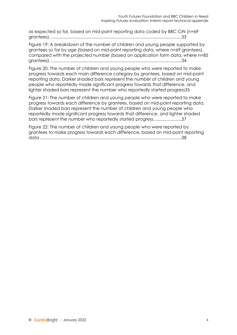[as expected so far, based on mid-point reporting data coded by BBC CiN \(n=69](#page-32-1)  grantees). [...........................................................................................................33](#page-32-1)

[Figure 19: A breakdown of the number of children and young people supported by](#page-33-0)  [grantees so far by age \(based on mid-point reporting data, where n=69 grantees\),](#page-33-0)  [compared with the projected number \(based on application form data, where n=85](#page-33-0)  grantees). [...........................................................................................................34](#page-33-0)

[Figure 20: The number of children and young people who were reported to make](#page-34-0)  [progress towards each main difference category by grantees, based on mid-point](#page-34-0)  [reporting data. Darker shaded bars represent the number of children and young](#page-34-0)  [people who reportedly made significant progress towards that difference, and](#page-34-0)  [lighter shaded bars represent the number who reportedly started progress35](#page-34-0)

[Figure 21: The number of children and young people who were reported to make](#page-36-0)  [progress towards each difference by grantees, based on mid-point reporting data.](#page-36-0)  [Darker shaded bars represent the number of children and young people who](#page-36-0)  [reportedly made significant progress towards that difference, and lighter shaded](#page-36-0)  [bars represent the number who reportedly started progress.......................37](#page-36-0)

[Figure 22: The number of children and young people who were reported by](#page-37-0)  [grantees to make progress towards each difference, based on mid-point reporting](#page-37-0)  data [....................................................................................................................38](#page-37-0)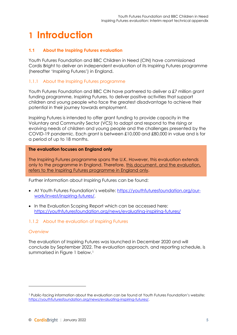# **1 Introduction**

#### **1.1 About the Inspiring Futures evaluation**

Youth Futures Foundation and BBC Children in Need (CIN) have commissioned Cordis Bright to deliver an independent evaluation of its Inspiring Futures programme (hereafter 'Inspiring Futures') in England.

#### 1.1.1 About the Inspiring Futures programme

Youth Futures Foundation and BBC CIN have partnered to deliver a £7 million grant funding programme, Inspiring Futures, to deliver positive activities that support children and young people who face the greatest disadvantage to achieve their potential in their journey towards employment.

Inspiring Futures is intended to offer grant funding to provide capacity in the Voluntary and Community Sector (VCS) to adapt and respond to the rising or evolving needs of children and young people and the challenges presented by the COVID-19 pandemic. Each grant is between £10,000 and £80,000 in value and is for a period of up to 18 months.

#### **The evaluation focuses on England only**

The Inspiring Futures programme spans the U.K. However, this evaluation extends only to the programme in England. Therefore, this document, and the evaluation, refers to the Inspiring Futures programme in England only.

Further information about Inspiring Futures can be found:

- At Youth Futures Foundation's website: [https://youthfuturesfoundation.org/our](https://youthfuturesfoundation.org/our-work/invest/inspiring-futures/)[work/invest/inspiring-futures/.](https://youthfuturesfoundation.org/our-work/invest/inspiring-futures/)
- In the Evaluation Scoping Report which can be accessed here: <https://youthfuturesfoundation.org/news/evaluating-inspiring-futures/>

#### 1.1.2 About the evaluation of Inspiring Futures

#### *Overview*

The evaluation of Inspiring Futures was launched in December 2020 and will conclude by September 2022. The evaluation approach, and reporting schedule, is summarised in [Figure 1](#page-5-0) below.<sup>[1](#page-4-0)</sup>

<span id="page-4-0"></span><sup>1</sup> Public-facing information about the evaluation can be found at Youth Futures Foundation's website: [https://youthfuturesfoundation.org/news/evaluating-inspiring-futures/.](https://youthfuturesfoundation.org/news/evaluating-inspiring-futures/)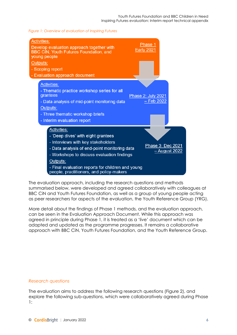<span id="page-5-0"></span>*Figure 1: Overview of evaluation of Inspiring Futures*



The evaluation approach, including the research questions and methods summarised below, were developed and agreed collaboratively with colleagues at BBC CiN and Youth Futures Foundation, as well as a group of young people acting as peer researchers for aspects of the evaluation, the Youth Reference Group (YRG).

More detail about the findings of Phase 1 methods, and the evaluation approach, can be seen in the Evaluation Approach Document. While this approach was agreed in principle during Phase 1, it is treated as a 'live' document which can be adapted and updated as the programme progresses. It remains a collaborative approach with BBC CiN, Youth Futures Foundation, and the Youth Reference Group.

#### *Research questions*

The evaluation aims to address the following research questions [\(Figure 2\)](#page-6-0), and explore the following sub-questions, which were collaboratively agreed during Phase 1: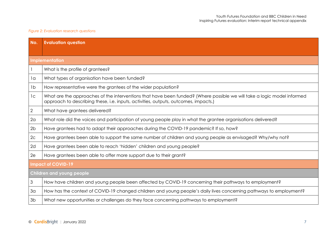#### *Figure 2: Evaluation research questions*

<span id="page-6-0"></span>

| No.            | <b>Evaluation question</b>                                                                                                                                                                                     |  |  |  |  |  |
|----------------|----------------------------------------------------------------------------------------------------------------------------------------------------------------------------------------------------------------|--|--|--|--|--|
|                |                                                                                                                                                                                                                |  |  |  |  |  |
|                | <b>Implementation</b>                                                                                                                                                                                          |  |  |  |  |  |
|                | What is the profile of grantees?                                                                                                                                                                               |  |  |  |  |  |
| la             | What types of organisation have been funded?                                                                                                                                                                   |  |  |  |  |  |
| 1b             | How representative were the grantees of the wider population?                                                                                                                                                  |  |  |  |  |  |
| 1c             | What are the approaches of the interventions that have been funded? (Where possible we will take a logic model informed<br>approach to describing these, i.e. inputs, activities, outputs, outcomes, impacts.) |  |  |  |  |  |
| 2              | What have grantees delivered?                                                                                                                                                                                  |  |  |  |  |  |
| 2 <sub>a</sub> | What role did the voices and participation of young people play in what the grantee organisations delivered?                                                                                                   |  |  |  |  |  |
| 2 <sub>b</sub> | Have grantees had to adapt their approaches during the COVID-19 pandemic? If so, how?                                                                                                                          |  |  |  |  |  |
| 2c             | Have grantees been able to support the same number of children and young people as envisaged? Why/why not?                                                                                                     |  |  |  |  |  |
| 2d             | Have grantees been able to reach 'hidden' children and young people?                                                                                                                                           |  |  |  |  |  |
| 2e             | Have grantees been able to offer more support due to their grant?                                                                                                                                              |  |  |  |  |  |
|                | <b>Impact of COVID-19</b>                                                                                                                                                                                      |  |  |  |  |  |
|                | <b>Children and young people</b>                                                                                                                                                                               |  |  |  |  |  |
| $\mathfrak{Z}$ | How have children and young people been affected by COVID-19 concerning their pathways to employment?                                                                                                          |  |  |  |  |  |
| 3 <sub>a</sub> | How has the context of COVID-19 changed children and young people's daily lives concerning pathways to employment?                                                                                             |  |  |  |  |  |
| 3 <sub>b</sub> | What new opportunities or challenges do they face concerning pathways to employment?                                                                                                                           |  |  |  |  |  |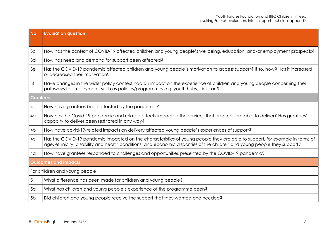| No.             | <b>Evaluation question</b>                                                                                                                                                                                                                               |  |  |  |  |
|-----------------|----------------------------------------------------------------------------------------------------------------------------------------------------------------------------------------------------------------------------------------------------------|--|--|--|--|
|                 |                                                                                                                                                                                                                                                          |  |  |  |  |
| 3 <sub>c</sub>  | How has the context of COVID-19 affected children and young people's wellbeing, education, and/or employment prospects?                                                                                                                                  |  |  |  |  |
| 3d              | How has need and demand for support been affected?                                                                                                                                                                                                       |  |  |  |  |
| 3e              | Has the COVID-19 pandemic affected children and young people's motivation to access support? If so, how? Has it increased<br>or decreased their motivation?                                                                                              |  |  |  |  |
| 3f              | Have changes in the wider policy context had an impact on the experience of children and young people concerning their<br>pathways to employment, such as policies/programmes e.g. youth hubs, Kickstart?                                                |  |  |  |  |
| <b>Grantees</b> |                                                                                                                                                                                                                                                          |  |  |  |  |
| 4               | How have grantees been affected by the pandemic?                                                                                                                                                                                                         |  |  |  |  |
| 4 <sub>Q</sub>  | How has the Covid-19 pandemic and related effects impacted the services that grantees are able to deliver? Has grantees'<br>capacity to deliver been restricted in any way?                                                                              |  |  |  |  |
| 4 <sub>b</sub>  | How have covid-19-related impacts on delivery affected young people's experiences of support?                                                                                                                                                            |  |  |  |  |
| 4 <sub>C</sub>  | Has the COVID-19 pandemic impacted on the characteristics of young people they are able to support, for example in terms of<br>age, ethnicity, disability and health conditions, and economic disparities of the children and young people they support? |  |  |  |  |
| 4d              | How have grantees responded to challenges and opportunities presented by the COVID-19 pandemic?                                                                                                                                                          |  |  |  |  |
|                 | <b>Outcomes and impacts</b>                                                                                                                                                                                                                              |  |  |  |  |
|                 | For children and young people                                                                                                                                                                                                                            |  |  |  |  |
| 5               | What difference has been made for children and young people?                                                                                                                                                                                             |  |  |  |  |
| 5 <sub>a</sub>  | What has children and young people's experience of the programme been?                                                                                                                                                                                   |  |  |  |  |
| 5 <sub>b</sub>  | Did children and young people receive the support that they wanted and needed?                                                                                                                                                                           |  |  |  |  |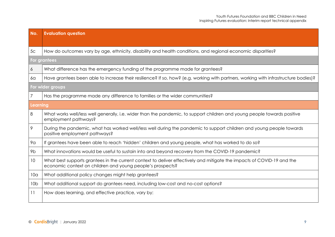| No.             | <b>Evaluation question</b>                                                                                                                                                           |  |  |  |  |
|-----------------|--------------------------------------------------------------------------------------------------------------------------------------------------------------------------------------|--|--|--|--|
|                 |                                                                                                                                                                                      |  |  |  |  |
| 5 <sub>c</sub>  | How do outcomes vary by age, ethnicity, disability and health conditions, and regional economic disparities?                                                                         |  |  |  |  |
|                 | For grantees                                                                                                                                                                         |  |  |  |  |
| 6               | What difference has the emergency funding of the programme made for grantees?                                                                                                        |  |  |  |  |
| 6a              | Have grantees been able to increase their resilience? If so, how? (e.g. working with partners, working with infrastructure bodies)?                                                  |  |  |  |  |
|                 | For wider groups                                                                                                                                                                     |  |  |  |  |
| 7               | Has the programme made any difference to families or the wider communities?                                                                                                          |  |  |  |  |
| <b>Learning</b> |                                                                                                                                                                                      |  |  |  |  |
| 8               | What works well/less well generally, i.e. wider than the pandemic, to support children and young people towards positive<br>employment pathways?                                     |  |  |  |  |
| 9               | During the pandemic, what has worked well/less well during the pandemic to support children and young people towards<br>positive employment pathways?                                |  |  |  |  |
| 9а              | If grantees have been able to reach 'hidden' children and young people, what has worked to do so?                                                                                    |  |  |  |  |
| 9b              | What innovations would be useful to sustain into and beyond recovery from the COVID-19 pandemic?                                                                                     |  |  |  |  |
| 10              | What best supports grantees in the current context to deliver effectively and mitigate the impacts of COVID-19 and the<br>economic context on children and young people's prospects? |  |  |  |  |
| 10 <sub>a</sub> | What additional policy changes might help grantees?                                                                                                                                  |  |  |  |  |
| 10 <sub>b</sub> | What additional support do grantees need, including low-cost and no-cost options?                                                                                                    |  |  |  |  |
| 11              | How does learning, and effective practice, vary by:                                                                                                                                  |  |  |  |  |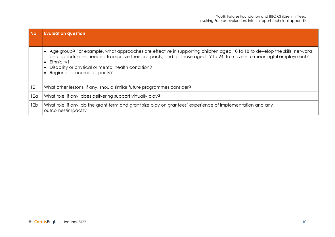| No. | <b>Evaluation question</b>                                                                                                                                                                                                                                                                                                                                           |
|-----|----------------------------------------------------------------------------------------------------------------------------------------------------------------------------------------------------------------------------------------------------------------------------------------------------------------------------------------------------------------------|
|     | Age group? For example, what approaches are effective in supporting children aged 10 to 18 to develop the skills, networks<br>and opportunities needed to improve their prospects; and for those aged 19 to 24, to move into meaningful employment?<br>Ethnicity?<br>$\bullet$<br>Disability or physical or mental health condition?<br>Regional economic disparity? |
| 12  | What other lessons, if any, should similar future programmes consider?                                                                                                                                                                                                                                                                                               |
| 12a | What role, if any, does delivering support virtually play?                                                                                                                                                                                                                                                                                                           |
| 12b | What role, if any, do the grant term and grant size play on grantees' experience of implementation and any<br>outcomes/impacts?                                                                                                                                                                                                                                      |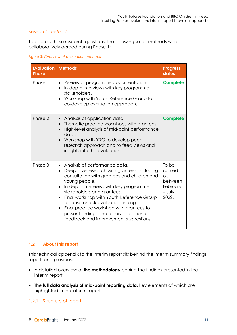#### *Research methods*

To address these research questions, the following set of methods were collaboratively agreed during Phase 1:

#### <span id="page-10-0"></span>*Figure 3: Overview of evaluation methods*

| <b>Evaluation</b><br><b>Phase</b> | <b>Methods</b>                                                                                                                                                                                                                                                                                                                                                                                                                                                                  | <b>Progress</b><br>status                                           |  |
|-----------------------------------|---------------------------------------------------------------------------------------------------------------------------------------------------------------------------------------------------------------------------------------------------------------------------------------------------------------------------------------------------------------------------------------------------------------------------------------------------------------------------------|---------------------------------------------------------------------|--|
| Phase 1                           | Review of programme documentation.<br>In-depth interviews with key programme<br>stakeholders.<br>Workshop with Youth Reference Group to<br>co-develop evaluation approach.                                                                                                                                                                                                                                                                                                      | <b>Complete</b>                                                     |  |
| Phase 2                           | Analysis of application data.<br>Thematic practice workshops with grantees.<br>$\bullet$<br>High-level analysis of mid-point performance<br>data.<br>Workshop with YRG to develop peer<br>research approach and to feed views and<br>insights into the evaluation.                                                                                                                                                                                                              | <b>Complete</b>                                                     |  |
| Phase 3                           | Analysis of performance data.<br>$\bullet$<br>Deep-dive research with grantees, including<br>consultation with grantees and children and<br>young people.<br>In-depth interviews with key programme<br>stakeholders and grantees.<br>Final workshop with Youth Reference Group<br>$\bullet$<br>to sense-check evaluation findings.<br>Final practice workshop with grantees to<br>$\bullet$<br>present findings and receive additional<br>feedback and improvement suggestions. | To be<br>carried<br>out<br>between<br>February<br>$-$ July<br>2022. |  |

#### **1.2 About this report**

This technical appendix to the interim report sits behind the interim summary findings report, and provides:

- A detailed overview of **the methodology** behind the findings presented in the interim report.
- The **full data analysis of mid-point reporting data**, key elements of which are highlighted in the interim report.

#### 1.2.1 Structure of report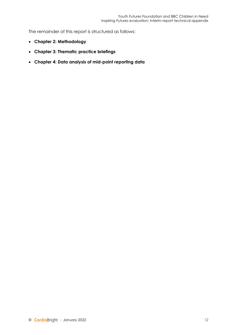The remainder of this report is structured as follows:

- **Chapter 2: Methodology**
- **Chapter 3: Thematic practice briefings**
- **Chapter 4: Data analysis of mid-point reporting data**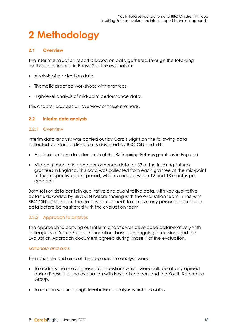# **2 Methodology**

#### **2.1 Overview**

The interim evaluation report is based on data gathered through the following methods carried out in Phase 2 of the evaluation:

- Analysis of application data.
- Thematic practice workshops with grantees.
- High-level analysis of mid-point performance data.

This chapter provides an overview of these methods.

#### **2.2 Interim data analysis**

#### 2.2.1 Overview

Interim data analysis was carried out by Cordis Bright on the following data collected via standardised forms designed by BBC CiN and YFF:

- Application form data for each of the 85 Inspiring Futures grantees in England
- Mid-point monitoring and performance data for 69 of the Inspiring Futures grantees in England. This data was collected from each grantee at the mid-point of their respective grant period, which varies between 12 and 18 months per grantee.

Both sets of data contain qualitative and quantitative data, with key qualitative data fields coded by BBC CiN before sharing with the evaluation team in line with BBC CiN's approach. The data was 'cleaned' to remove any personal identifiable data before being shared with the evaluation team.

#### 2.2.2 Approach to analysis

The approach to carrying out interim analysis was developed collaboratively with colleagues at Youth Futures Foundation, based on ongoing discussions and the Evaluation Approach document agreed during Phase 1 of the evaluation.

#### *Rationale and aims*

The rationale and aims of the approach to analysis were:

- To address the relevant research questions which were collaboratively agreed during Phase 1 of the evaluation with key stakeholders and the Youth Reference Group.
- To result in succinct, high-level interim analysis which indicates: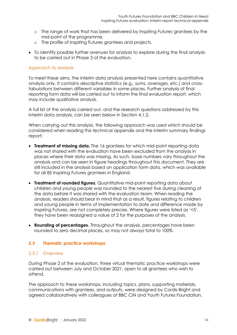- o The range of work that has been delivered by Inspiring Futures grantees by the mid-point of the programme.
- o The profile of Inspiring Futures grantees and projects.
- To identify possible further avenues for analysis to explore during the final analysis to be carried out in Phase 3 of the evaluation.

#### *Approach to analysis*

To meet these aims, the interim data analysis presented here contains quantitative analysis only. It contains descriptive statistics (e.g., sums, averages, etc.) and crosstabulations between different variables in some places. Further analysis of final reporting form data will be carried out to inform the final evaluation report, which may include qualitative analysis.

A full list of the analysis carried out, and the research questions addressed by this interim data analysis, can be seen below in Section [4.1.2.](#page-17-0)

When carrying out this analysis, the following approach was used which should be considered when reading this technical appendix and the interim summary findings report:

- **Treatment of missing data.** The 16 grantees for which mid-point reporting data was not shared with the evaluation have been excluded from the analysis in places where their data was missing. As such, base numbers vary throughout the analysis and can be seen in figure headings throughout this document. They are still included in the analysis based on application form data, which was available for all 85 Inspiring Futures grantees in England.
- **Treatment of rounded figures.** Quantitative mid-point reporting data about children and young people was rounded to the nearest five during cleaning of the data before it was shared with the evaluation team. When reading the analysis, readers should bear in mind that as a result, figures relating to children and young people in terms of implementation to date and difference made by Inspiring Futures, are not completely precise. Where figures were listed as '<5', they have been reassigned a value of 2 for the purposes of the analysis.
- **Rounding of percentages.** Throughout the analysis, percentages have been rounded to zero decimal places, so may not always total to 100%.

#### **2.3 Thematic practice workshops**

#### 2.3.1 Overview

During Phase 2 of the evaluation, three virtual thematic practice workshops were carried out between July and October 2021, open to all grantees who wish to attend.

The approach to these workshops, including topics, plans, supporting materials, communications with grantees, and outputs, were designed by Cordis Bright and agreed collaboratively with colleagues at BBC CiN and Youth Futures Foundation.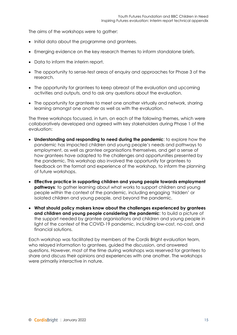The aims of the workshops were to gather:

- Initial data about the programme and grantees.
- Emerging evidence on the key research themes to inform standalone briefs.
- Data to inform the interim report.
- The opportunity to sense-test areas of enquiry and approaches for Phase 3 of the research.
- The opportunity for grantees to keep abreast of the evaluation and upcoming activities and outputs, and to ask any questions about the evaluation.
- The opportunity for grantees to meet one another virtually and network, sharing learning amongst one another as well as with the evaluation.

The three workshops focussed, in turn, on each of the following themes, which were collaboratively developed and agreed with key stakeholders during Phase 1 of the evaluation:

- **Understanding and responding to need during the pandemic**: to explore how the pandemic has impacted children and young people's needs and pathways to employment, as well as grantee organisations themselves, and get a sense of how grantees have adapted to the challenges and opportunities presented by the pandemic. This workshop also involved the opportunity for grantees to feedback on the format and experience of the workshop, to inform the planning of future workshops.
- **Effective practice in supporting children and young people towards employment pathways***:* to gather learning about what works to support children and young people within the context of the pandemic, including engaging 'hidden' or isolated children and young people, and beyond the pandemic.
- **What should policy makers know about the challenges experienced by grantees and children and young people considering the pandemic**: to build a picture of the support needed by grantee organisations and children and young people in light of the context of the COVID-19 pandemic, including low-cost, no-cost, and financial solutions.

Each workshop was facilitated by members of the Cordis Bright evaluation team, who relayed information to grantees, guided the discussion, and answered questions. However, most of the time during workshops was reserved for grantees to share and discuss their opinions and experiences with one another. The workshops were primarily interactive in nature.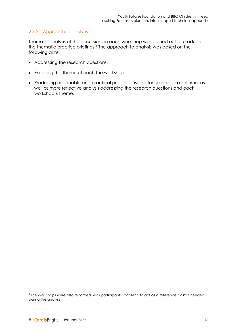#### 2.3.2 Approach to analysis

Thematic analysis of the discussions in each workshop was carried out to produce the thematic practice briefings.[2](#page-15-0) The approach to analysis was based on the following aims:

- Addressing the research questions.
- Exploring the theme of each the workshop.
- Producing actionable and practical practice insights for grantees in real time, as well as more reflective analysis addressing the research questions and each workshop's theme.

<span id="page-15-0"></span><sup>2</sup> The workshops were also recorded, with participants' consent, to act as a reference point if needed during the analysis.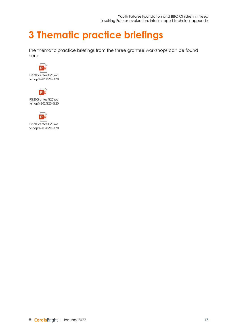### **3 Thematic practice briefings**

The thematic practice briefings from the three grantee workshops can be found here:





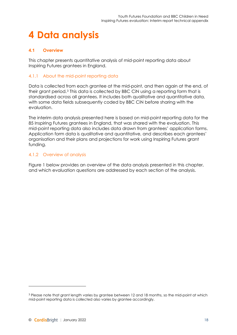# **4 Data analysis**

#### **4.1 Overview**

This chapter presents quantitative analysis of mid-point reporting data about Inspiring Futures grantees in England.

#### 4.1.1 About the mid-point reporting data

Data is collected from each grantee at the mid-point, and then again at the end, of their grant period.[3](#page-17-1) This data is collected by BBC CiN using a reporting form that is standardised across all grantees. It includes both qualitative and quantitative data, with some data fields subsequently coded by BBC CiN before sharing with the evaluation.

The interim data analysis presented here is based on mid-point reporting data for the 85 Inspiring Futures grantees in England, that was shared with the evaluation. This mid-point reporting data also includes data drawn from grantees' application forms. Application form data is qualitative and quantitative, and describes each grantees' organisation and their plans and projections for work using Inspiring Futures grant funding.

#### <span id="page-17-0"></span>4.1.2 Overview of analysis

Figure 1 below provides an overview of the data analysis presented in this chapter, and which evaluation questions are addressed by each section of the analysis.

<span id="page-17-1"></span><sup>3</sup> Please note that grant length varies by grantee between 12 and 18 months, so the mid-point at which mid-point reporting data is collected also varies by grantee accordingly.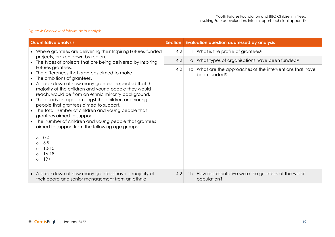#### *Figure 4: Overview of interim data analysis*

<span id="page-18-0"></span>

| <b>Quantitative analysis</b>                                                                                                                                                                                                                                                                                                                                                                                                                                                                                                                                                                                                                         |     |    | <b>Evaluation question addressed by analysis</b>                            |
|------------------------------------------------------------------------------------------------------------------------------------------------------------------------------------------------------------------------------------------------------------------------------------------------------------------------------------------------------------------------------------------------------------------------------------------------------------------------------------------------------------------------------------------------------------------------------------------------------------------------------------------------------|-----|----|-----------------------------------------------------------------------------|
| • Where grantees are delivering their Inspiring Futures-funded                                                                                                                                                                                                                                                                                                                                                                                                                                                                                                                                                                                       | 4.2 |    | What is the profile of grantees?                                            |
| projects, broken down by region.<br>$\bullet$ The types of projects that are being delivered by Inspiring                                                                                                                                                                                                                                                                                                                                                                                                                                                                                                                                            | 4.2 | 1a | What types of organisations have been funded?                               |
| Futures grantees.<br>The differences that grantees aimed to make.<br>The ambitions of grantees.<br>A breakdown of how many grantees expected that the<br>majority of the children and young people they would<br>reach, would be from an ethnic minority background.<br>The disadvantages amongst the children and young<br>people that grantees aimed to support.<br>The total number of children and young people that<br>grantees aimed to support.<br>The number of children and young people that grantees<br>$\bullet$<br>aimed to support from the following age groups:<br>$O - 4$ .<br>$5-9.$<br>$10 - 15.$<br>$16-18.$<br>$19+$<br>$\circ$ | 4.2 |    | 1c   What are the approaches of the interventions that have<br>been funded? |
| A breakdown of how many grantees have a majority of<br>$\bullet$<br>their board and senior management from an ethnic                                                                                                                                                                                                                                                                                                                                                                                                                                                                                                                                 | 4.2 |    | 1b   How representative were the grantees of the wider<br>population?       |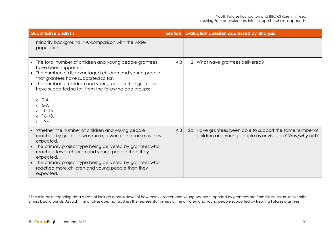<span id="page-19-0"></span>

| <b>Quantitative analysis</b>                                                                                                                                                                                                                                                                                                                                                                     |     | <b>Evaluation question addressed by analysis</b><br><b>Section</b> |                                                                                                                    |
|--------------------------------------------------------------------------------------------------------------------------------------------------------------------------------------------------------------------------------------------------------------------------------------------------------------------------------------------------------------------------------------------------|-----|--------------------------------------------------------------------|--------------------------------------------------------------------------------------------------------------------|
| minority background <sup>4</sup> A comparison with the wider<br>population.                                                                                                                                                                                                                                                                                                                      |     |                                                                    |                                                                                                                    |
| • The total number of children and young people grantees<br>have been supported.<br>The number of disadvantaged children and young people<br>that grantees have supported so far.<br>The number of children and young people that grantees<br>$\bullet$<br>have supported so far, from the following age groups:<br>$0 - 4.$<br>$05-9$ .<br>$0$ 10-15.<br>$0$ 16-18.<br>$0.19 +$ .               | 4.3 | 2                                                                  | What have grantees delivered?                                                                                      |
| Whether the number of children and young people<br>$\bullet$<br>reached by grantees was more, fewer, or the same as they<br>expected.<br>The primary project type being delivered by grantees who<br>reached fewer children and young people than they<br>expected.<br>The primary project type being delivered by grantees who<br>reached more children and young people than they<br>expected. | 4.3 |                                                                    | 2c   Have grantees been able to support the same number of<br>children and young people as envisaged? Why/why not? |

<sup>4</sup> The mid-point reporting data does not include a breakdown of how many children and young people supported by grantees are from Black, Asian, or Minority Ethnic backgrounds. As such, the analysis does not address the representativeness of the children and young people supported by Inspiring Futures grantees.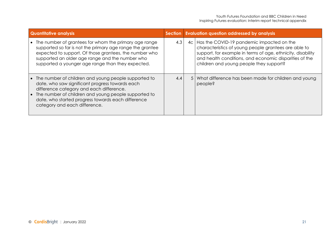| <b>Quantitative analysis</b> |                                                                                                                                                                                                                                                                                                    |     | Section Evaluation question addressed by analysis |                                                                                                                                                                                                                                                                       |  |
|------------------------------|----------------------------------------------------------------------------------------------------------------------------------------------------------------------------------------------------------------------------------------------------------------------------------------------------|-----|---------------------------------------------------|-----------------------------------------------------------------------------------------------------------------------------------------------------------------------------------------------------------------------------------------------------------------------|--|
|                              | The number of grantees for whom the primary age range<br>supported so far is not the primary age range the grantee<br>expected to support. Of those grantees, the number who<br>supported an older age range and the number who<br>supported a younger age range than they expected.               | 4.3 | 4c <sub>1</sub>                                   | Has the COVID-19 pandemic impacted on the<br>characteristics of young people grantees are able to<br>support, for example in terms of age, ethnicity, disability<br>and health conditions, and economic disparities of the<br>children and young people they support? |  |
| $\bullet$                    | The number of children and young people supported to<br>date, who saw significant progress towards each<br>difference category and each difference.<br>The number of children and young people supported to<br>date, who started progress towards each difference<br>category and each difference. | 4.4 | 5                                                 | What difference has been made for children and young<br>people?                                                                                                                                                                                                       |  |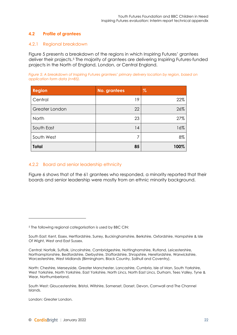#### <span id="page-21-1"></span>**4.2 Profile of grantees**

#### 4.2.1 Regional breakdown

[Figure 5](#page-21-0) presents a breakdown of the regions in which Inspiring Futures' grantees deliver their projects.[5](#page-21-2) The majority of grantees are delivering Inspiring Futures-funded projects in the North of England, London, or Central England.

<span id="page-21-0"></span>*Figure 5: A breakdown of Inspiring Futures grantees' primary delivery location by region, based on application form data (n=85).*

| <b>Region</b>  | <b>No. grantees</b> | $\mathcal{Z}_{\text{o}}$ |
|----------------|---------------------|--------------------------|
| Central        | 19                  | 22%                      |
| Greater London | 22                  | 26%                      |
| North          | 23                  | 27%                      |
| South East     | 14                  | 16%                      |
| South West     | 7                   | 8%                       |
| <b>Total</b>   | 85                  | 100%                     |

#### 4.2.2 Board and senior leadership ethnicity

[Figure 6](#page-22-0) shows that of the 61 grantees who responded, a minority reported that their boards and senior leadership were mostly from an ethnic minority background.

London: Greater London.

<span id="page-21-2"></span><sup>5</sup> The following regional categorisation is used by BBC CiN:

South East: Kent, Essex, Hertfordshire, Surrey, Buckinghamshire, Berkshire, Oxfordshire, Hampshire & Isle Of Wight, West and East Sussex.

Central: Norfolk, Suffolk, Lincolnshire, Cambridgeshire, Nottinghamshire, Rutland, Leicestershire, Northamptonshire, Bedfordshire, Derbyshire, Staffordshire, Shropshire, Herefordshire, Warwickshire, Worcestershire, West Midlands (Birmingham, Black Country, Solihull and Coventry).

North: Cheshire, Merseyside, Greater Manchester, Lancashire, Cumbria, Isle of Man, South Yorkshire, West Yorkshire, North Yorkshire, East Yorkshire, North Lincs, North East Lincs, Durham, Tees Valley, Tyne & Wear, Northumberland.

South West: Gloucestershire, Bristol, Wiltshire, Somerset, Dorset, Devon, Cornwall and The Channel Islands.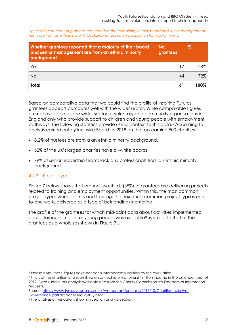<span id="page-22-0"></span>*Figure 6: The number of grantees that reported that a majority of their board and senior management team are from an ethnic minority background, based on application form data (n=61).*

| Whether grantees reported that a majority of their board<br>and senior management are from an ethnic minority<br>background | No.<br>grantees | $\%$ |
|-----------------------------------------------------------------------------------------------------------------------------|-----------------|------|
| Yes                                                                                                                         | 17              | 28%  |
| <b>No</b>                                                                                                                   | 44              | 72%  |
| <b>Total</b>                                                                                                                | 61              | 100% |

Based on comparative data that we could find the profile of Inspiring Futures grantees appears compares well with the wider sector. While comparable figures are not available for the wider sector of voluntary and community organisations in England only who provide support to children and young people with employment pathways, the following statistics provide useful context to this data.[6](#page-22-1) According to analysis carried out by Inclusive Boards in 2018 on the top-earning 500 charities<sup>[7](#page-22-2)</sup>:

- 8.2% of trustees are from a an ethnic minority background.
- 62% of the UK's largest charities have all-white boards.
- 79% of senior leadership teams lack any professionals from an ethnic minority background.

#### 4.2.3 Project type

[Figure 7](#page-23-0) below shows that around two-thirds (65%) of grantees are delivering projects related to training and employment opportunities. Within this, the most common project types were life skills and training; the next most common project type is oneto-one work, delivered as a type of befriending/mentoring.

The profile of the grantees for which mid-point data about activities implemented and differences made for young people was available<sup>8</sup>, is similar to that of the grantees as a whole (as shown in [Figure 7\)](#page-23-0).

Source: [https://www.inclusiveboards.co.uk/wp-content/uploads/2019/10/Charities-Inclusive-](https://www.inclusiveboards.co.uk/wp-content/uploads/2019/10/Charities-Inclusive-Governance.pdf)[Governance.pdfL](https://www.inclusiveboards.co.uk/wp-content/uploads/2019/10/Charities-Inclusive-Governance.pdf)ast accessed 25/01/2022

<span id="page-22-1"></span><sup>6</sup> Please note, these figures have not been interpedently verified by the evaluation.

<span id="page-22-2"></span><sup>7</sup> This is of the charities who submitted an annual return of over £1 million income in the calendar year of 2017. Data used in this analysis was obtained from the Charity Commission via Freedom of Information requests.

<span id="page-22-3"></span><sup>8</sup> The analysis of this data is shown in Section and [4.3](#page-30-2) Sectio[n 4.4.](#page-34-2)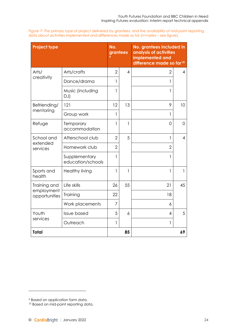<span id="page-23-0"></span>*Figure 7: The primary type of project delivered by grantees, and the availability of mid-point reporting data about activities implemented and differences made so far (n=varies – see figure).*

| <b>Project type</b>         |                                    | No.<br>grantees |                          | No. grantees included in<br>analysis of activities<br>implemented and<br>difference made so far <sup>10</sup> |                |
|-----------------------------|------------------------------------|-----------------|--------------------------|---------------------------------------------------------------------------------------------------------------|----------------|
| Arts/                       | Arts/crafts                        | $\overline{2}$  | $\overline{\mathcal{A}}$ | 2                                                                                                             | 4              |
| creativity                  | Dance/drama                        | 1               |                          | 1                                                                                                             |                |
|                             | Music (including<br>DJ)            | 1               |                          | 1                                                                                                             |                |
| Befriending/                | 121                                | 12              | 13                       | 9                                                                                                             | 10             |
| mentoring                   | Group work                         | 1               |                          | 1                                                                                                             |                |
| Refuge                      | Temporary<br>accommodation         | 1               | 1                        | 0                                                                                                             | 0              |
| School and                  | Afterschool club                   | $\overline{2}$  | 5                        | 1                                                                                                             | $\overline{4}$ |
| extended<br>services        | Homework club                      | $\overline{2}$  |                          | 2                                                                                                             |                |
|                             | Supplementary<br>education/schools | 1               |                          | 1                                                                                                             |                |
| Sports and<br>health        | <b>Healthy living</b>              | 1               | 1                        | 1                                                                                                             | 1              |
| Training and                | Life skills                        | 26              | 55                       | 21                                                                                                            | 45             |
| employment<br>opportunities | Training                           | 22              |                          | 18                                                                                                            |                |
|                             | Work placements                    | $\overline{7}$  |                          | 6                                                                                                             |                |
| Youth                       | <b>Issue based</b>                 | 5               | 6                        | 4                                                                                                             | 5              |
| services                    | Outreach                           | 1               |                          | 1                                                                                                             |                |
| <b>Total</b>                |                                    |                 | 85                       |                                                                                                               | 69             |

<span id="page-23-1"></span><sup>&</sup>lt;sup>9</sup> Based on application form data.

<span id="page-23-2"></span><sup>&</sup>lt;sup>10</sup> Based on mid-point reporting data.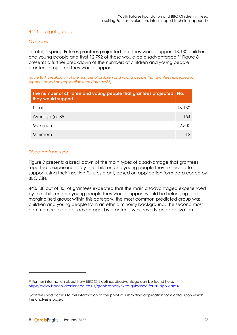#### <span id="page-24-2"></span>4.2.4 Target groups

#### *Overview*

In total, Inspiring Futures grantees projected that they would support 13,130 children and young people and that 12,792 of those would be disadvantaged.[11](#page-24-1) [Figure 8](#page-24-0) presents a further breakdown of the numbers of children and young people grantees projected they would support.

<span id="page-24-0"></span>*Figure 8: A breakdown of the number of children and young people that grantees expected to support, based on application form data (n=85).*

| The number of children and young people that grantees projected No.<br>they would support |              |
|-------------------------------------------------------------------------------------------|--------------|
| Total                                                                                     | 13,130       |
| Average (n=85)                                                                            | 154          |
| Maximum                                                                                   | 2,500        |
| Minimum                                                                                   | $12^{\circ}$ |

#### *Disadvantage type*

[Figure 9](#page-25-0) presents a breakdown of the main types of disadvantage that grantees reported is experienced by the children and young people they expected to support using their Inspiring Futures grant, based on application form data coded by BBC CiN.

44% (38 out of 85) of grantees expected that the main disadvantaged experienced by the children and young people they would support would be belonging to a marginalised group; within this category, the most common predicted group was children and young people from an ethnic minority background. The second most common predicted disadvantage, by grantees, was poverty and deprivation.

<span id="page-24-1"></span><sup>11</sup> Further information about how BBC CiN defines disadvantage can be found here: [https://www.bbcchildreninneed.co.uk/grants/apply/extra-guidance-for-all-applicants/.](https://www.bbcchildreninneed.co.uk/grants/apply/extra-guidance-for-all-applicants/)

Grantees had access to this information at the point of submitting application form data upon which this analysis is based.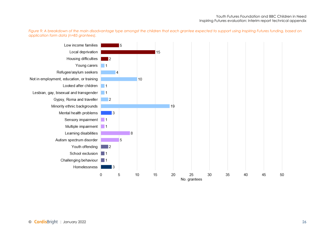*Figure 9: A breakdown of the main disadvantage type amongst the children that each grantee expected to support using Inspiring Futures funding, based on application form data (n=85 grantees).*

<span id="page-25-0"></span>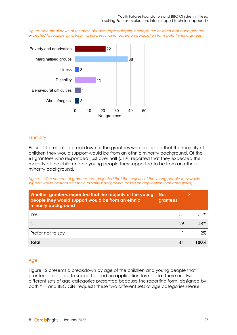<span id="page-26-0"></span>*Figure 10: A breakdown of the main disadvantage category amongst the children that each grantee expected to support using Inspiring Futures funding, based on application form data (n=85 grantees).*



#### *Ethnicity*

[Figure 11](#page-26-1) presents a breakdown of the grantees who projected that the majority of children they would support would be from an ethnic minority background. Of the 61 grantees who responded, just over half (51%) reported that they expected the majority of the children and young people they supported to be from an ethnic minority background.

<span id="page-26-1"></span>*Figure 11: The number of grantees that projected that the majority of the young people they would support would be from an ethnic minority background, based on application form data (n=61).*

| Whether grantees expected that the majority of the young<br>people they would support would be from an ethnic<br>minority background | No.<br>grantees | $\%$ |
|--------------------------------------------------------------------------------------------------------------------------------------|-----------------|------|
| Yes                                                                                                                                  | 31              | 51%  |
| <b>No</b>                                                                                                                            | 29              | 48%  |
| Prefer not to say                                                                                                                    |                 | 2%   |
| <b>Total</b>                                                                                                                         | 61              | 100% |

#### *Age*

[Figure 12](#page-27-0) presents a breakdown by age of the children and young people that grantees expected to support based on application form data. There are two different sets of age categories presented because the reporting form, designed by both YFF and BBC CiN, requests these two different sets of age categories Please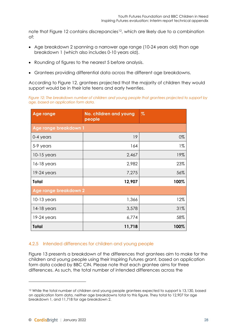note that [Figure 12](#page-27-0) contains discrepancies<sup>12</sup>, which are likely due to a combination of:

- Age breakdown 2 spanning a narrower age range (10-24 years old) than age breakdown 1 (which also includes 0-10 years old).
- Rounding of figures to the nearest 5 before analysis.
- Grantees providing differential data across the different age breakdowns.

According to [Figure 12,](#page-27-0) grantees projected that the majority of children they would support would be in their late teens and early twenties.

<span id="page-27-0"></span>*Figure 12: The breakdown number of children and young people that grantees projected to support by age, based on application form data.*

| <b>Age range</b>      | No. children and young<br>people | $\%$  |
|-----------------------|----------------------------------|-------|
| Age range breakdown 1 |                                  |       |
| 0-4 years             | 19                               | 0%    |
| 5-9 years             | 164                              | $1\%$ |
| $10-15$ years         | 2,467                            | 19%   |
| $16-18$ years         | 2,982                            | 23%   |
| $19-24$ years         | 7,275                            | 56%   |
| <b>Total</b>          | 12,907                           | 100%  |
| Age range breakdown 2 |                                  |       |
| $10-13$ years         | 1,366                            | 12%   |
| $14-18$ years         | 3,578                            | 31%   |
| $19-24$ years         | 6,774                            | 58%   |
| <b>Total</b>          | 11,718                           | 100%  |

#### 4.2.5 Intended differences for children and young people

[Figure 13](#page-28-0) presents a breakdown of the differences that grantees aim to make for the children and young people using their Inspiring Futures grant, based on application form data coded by BBC CiN. Please note that each grantee aims for three differences. As such, the total number of intended differences across the

<span id="page-27-1"></span><sup>&</sup>lt;sup>12</sup> While the total number of children and young people grantees expected to support is 13,130, based on application form data, neither age breakdowns total to this figure. They total to 12,907 for age breakdown 1, and 11,718 for age breakdown 2.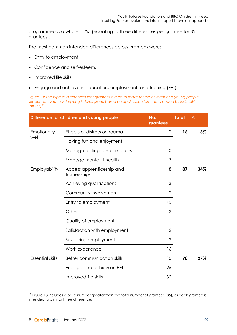programme as a whole is 255 (equating to three differences per grantee for 85 grantees).

The most common intended differences across grantees were:

- Entry to employment.
- Confidence and self-esteem.
- Improved life skills.
- Engage and achieve in education, employment, and training (EET).

<span id="page-28-0"></span>Figure 13: The type of differences that grantees aimed to make for the children and young people *supported using their Inspiring Futures grant, based on application form data coded by BBC CiN (n=255)[13.](#page-28-1)*

|                         | Difference for children and young people  | No.<br>grantees | <b>Total</b> | $\%$  |
|-------------------------|-------------------------------------------|-----------------|--------------|-------|
| Emotionally             | Effects of distress or trauma             | $\mathbf{2}$    | 16           | $6\%$ |
| well                    | Having fun and enjoyment                  | 1               |              |       |
|                         | Manage feelings and emotions              | 10              |              |       |
|                         | Manage mental ill health                  | 3               |              |       |
| Employability           | Access apprenticeship and<br>traineeships | 8               | 87           | 34%   |
|                         | Achieving qualifications                  | 13              |              |       |
|                         | Community involvement                     | $\overline{2}$  |              |       |
|                         | Entry to employment                       | 40              |              |       |
|                         | Other                                     | 3               |              |       |
|                         | Quality of employment                     | 1               |              |       |
|                         | Satisfaction with employment              | $\overline{2}$  |              |       |
|                         | Sustaining employment                     | $\overline{2}$  |              |       |
|                         | Work experience                           | 16              |              |       |
| <b>Essential skills</b> | <b>Better communication skills</b>        | 10              | 70           | 27%   |
|                         | Engage and achieve in EET                 | 25              |              |       |
|                         | Improved life skills                      | 32              |              |       |

<span id="page-28-1"></span><sup>&</sup>lt;sup>13</sup> Figure 13 includes a base number greater than the total number of grantees (85), as each grantee is intended to aim for three differences.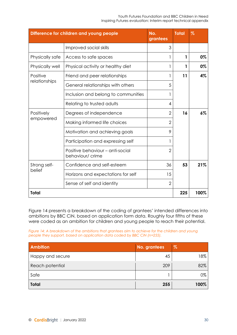#### Youth Futures Foundation and BBC Children in Need Inspiring Futures evaluation: Interim report technical appendix

|                 | Difference for children and young people             | No.<br>grantees | <b>Total</b> | $\%$ |       |
|-----------------|------------------------------------------------------|-----------------|--------------|------|-------|
|                 | Improved social skills                               | 3               |              |      |       |
| Physically safe | Access to safe spaces                                | 1               | 1            | 0%   |       |
| Physically well | Physical activity or healthy diet                    | 1               | 1            | 0%   |       |
| Positive        | Friend and peer relationships                        | 1               | 11           | 4%   |       |
| relationships   | General relationships with others                    | 5               |              |      |       |
|                 | Inclusion and belong to communities                  |                 |              |      |       |
|                 | Relating to trusted adults                           | 4               |              |      |       |
| Positively      | Degrees of independence                              | $\overline{2}$  | 16           |      | $6\%$ |
| empowered       | Making informed life choices                         | $\overline{2}$  |              |      |       |
|                 | Motivation and achieving goals                       | 9               |              |      |       |
|                 | Participation and expressing self                    | 1               |              |      |       |
|                 | Positive behaviour - anti-social<br>behaviour/ crime | $\overline{2}$  |              |      |       |
| Strong self-    | Confidence and self-esteem                           | 36              | 53           | 21%  |       |
| belief          | Horizons and expectations for self                   | 15              |              |      |       |
|                 | Sense of self and identity                           | $\overline{2}$  |              |      |       |
| <b>Total</b>    |                                                      |                 | 225          | 100% |       |

[Figure 14](#page-29-0) presents a breakdown of the coding of grantees' intended differences into ambitions by BBC CiN, based on application form data. Roughly four fifths of these were coded as an ambition for children and young people to reach their potential.

<span id="page-29-0"></span>*Figure 14: A breakdown of the ambitions that grantees aim to achieve for the children and young people they support, based on application data coded by BBC CiN (n=255).*

| <b>Ambition</b>  | No. grantees | $\%$ |
|------------------|--------------|------|
| Happy and secure | 45           | 18%  |
| Reach potential  | 209          | 82%  |
| Safe             |              | 0%   |
| <b>Total</b>     | 255          | 100% |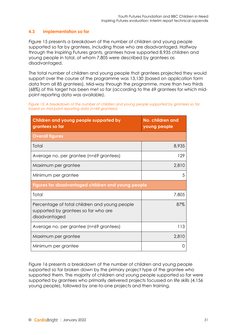#### <span id="page-30-2"></span><span id="page-30-1"></span>**4.3 Implementation so far**

[Figure 15](#page-30-0) presents a breakdown of the number of children and young people supported so far by grantees, including those who are disadvantaged. Halfway through the Inspiring Futures grants, grantees have supported 8,935 children and young people in total, of whom 7,805 were described by grantees as disadvantaged.

The total number of children and young people that grantees projected they would support over the course of the programme was 13,130 (based on application form data from all 85 grantees). Mid-way through the programme, more than two thirds (68%) of this target has been met so far (according to the 69 grantees for which midpoint reporting data was available).

<span id="page-30-0"></span>*Figure 15: A breakdown of the number of children and young people supported by grantees so far, based on mid-point reporting data (n=69 grantees).*

| Children and young people supported by<br>grantees so far                                              | No. children and<br>young people |
|--------------------------------------------------------------------------------------------------------|----------------------------------|
| <b>Overall figures</b>                                                                                 |                                  |
| Total                                                                                                  | 8,935                            |
| Average no. per grantee (n=69 grantees)                                                                | 129                              |
| Maximum per grantee                                                                                    | 2,810                            |
| Minimum per grantee                                                                                    | 5                                |
| Figures for disadvantaged children and young people                                                    |                                  |
| Total                                                                                                  | 7,805                            |
| Percentage of total children and young people<br>supported by grantees so far who are<br>disadvantaged | 87%                              |
| Average no. per grantee (n=69 grantees)                                                                | 113                              |
| Maximum per grantee                                                                                    | 2,810                            |
| Minimum per grantee                                                                                    |                                  |

[Figure 16](#page-31-0) presents a breakdown of the number of children and young people supported so far broken down by the primary project type of the grantee who supported them. The majority of children and young people supported so far were supported by grantees who primarily delivered projects focussed on life skills (4,156 young people), followed by one-to-one projects and then training.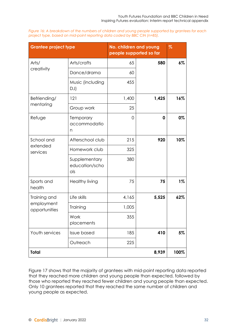<span id="page-31-0"></span>

| Figure 16: A breakdown of the numbers of children and young people supported by grantees for each |  |
|---------------------------------------------------------------------------------------------------|--|
| project type, based on mid-point reporting data coded by BBC CiN (n=85).                          |  |

| <b>Grantee project type</b> |                                        | No. children and young<br>people supported so far |       | $\%$  |
|-----------------------------|----------------------------------------|---------------------------------------------------|-------|-------|
| Arts/                       | Arts/crafts                            | 65                                                | 580   | $6\%$ |
| creativity                  | Dance/drama                            | 60                                                |       |       |
|                             | Music (including<br>DJ)                | 455                                               |       |       |
| Befriending/                | 121                                    | 1,400                                             | 1,425 | 16%   |
| mentoring                   | Group work                             | 25                                                |       |       |
| Refuge                      | Temporary<br>accommodatio<br>n         | 0                                                 | 0     | 0%    |
| School and                  | Afterschool club                       | 215                                               | 920   | 10%   |
| extended<br>services        | Homework club                          | 325                                               |       |       |
|                             | Supplementary<br>education/scho<br>ols | 380                                               |       |       |
| Sports and<br>health        | <b>Healthy living</b>                  | 75                                                | 75    | $1\%$ |
| Training and                | Life skills                            | 4,165                                             | 5,525 | 62%   |
| employment<br>opportunities | Training                               | 1,005                                             |       |       |
|                             | Work<br>placements                     | 355                                               |       |       |
| Youth services              | <b>Issue based</b>                     | 185                                               | 410   | 5%    |
|                             | Outreach                               | 225                                               |       |       |
| Total                       |                                        |                                                   | 8,939 | 100%  |

[Figure 17](#page-32-0) shows that the majority of grantees with mid-point reporting data reported that they reached more children and young people than expected, followed by those who reported they reached fewer children and young people than expected. Only 10 grantees reported that they reached the same number of children and young people as expected.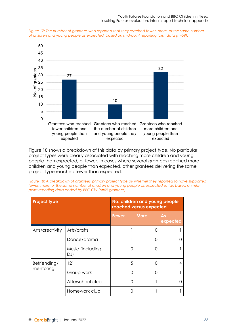<span id="page-32-0"></span>



[Figure 18](#page-32-1) shows a breakdown of this data by primary project type. No particular project types were clearly associated with reaching more children and young people than expected, or fewer. In cases where several grantees reached more children and young people than expected, other grantees delivering the same project type reached fewer than expected.

<span id="page-32-1"></span>*Figure 18: A breakdown of grantees' primary project type by whether they reported to have supported fewer, more, or the same number of children and young people as expected so far, based on midpoint reporting data coded by BBC CiN (n=69 grantees).*

| <b>Project type</b>       |                         |       | No. children and young people<br>reached versus expected |                |  |
|---------------------------|-------------------------|-------|----------------------------------------------------------|----------------|--|
|                           |                         | Fewer | <b>More</b>                                              | As<br>expected |  |
| Arts/creativity           | Arts/crafts             |       | $\left( \right)$                                         |                |  |
|                           | Dance/drama             |       | ∩                                                        |                |  |
|                           | Music (including<br>DJ) | ∩     | ∩                                                        |                |  |
| Befriending/<br>mentoring | 121                     | 5     | O                                                        | 4              |  |
|                           | Group work              | ∩     | ∩                                                        |                |  |
|                           | Afterschool club        | ∩     |                                                          |                |  |
|                           | Homework club           | ( )   |                                                          |                |  |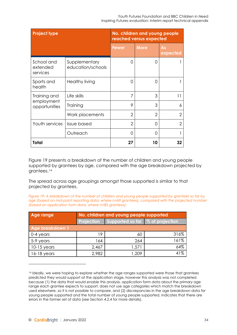| <b>Project type</b>                |                                    | No. children and young people<br>reached versus expected |                |                |
|------------------------------------|------------------------------------|----------------------------------------------------------|----------------|----------------|
|                                    |                                    | Fewer                                                    | <b>More</b>    | As<br>expected |
| School and<br>extended<br>services | Supplementary<br>education/schools | O                                                        | Ω              |                |
| Sports and<br>health               | Healthy living                     | $\Omega$                                                 | ∩              |                |
| Training and                       | Life skills                        | 7                                                        | 3              | 11             |
| employment<br>opportunities        | Training                           | 9                                                        | 3              | 6              |
|                                    | Work placements                    | $\overline{2}$                                           | $\overline{2}$ | 2              |
| Youth services                     | <b>Issue based</b>                 | $\overline{2}$                                           | $\Omega$       | 2              |
|                                    | Outreach                           | O                                                        | 0              |                |
| Total                              |                                    | 27                                                       | 10             | 32             |

[Figure 19](#page-33-0) presents a breakdown of the number of children and young people supported by grantees by age, compared with the age breakdown projected by grantees.[14](#page-33-1)

The spread across age groupings amongst those supported is similar to that projected by grantees.

<span id="page-33-0"></span>*Figure 19: A breakdown of the number of children and young people supported by grantees so far by age (based on mid-point reporting data, where n=69 grantees), compared with the projected number (based on application form data, where n=85 grantees).*

| Age range       | No. children and young people supported |                                             |      |  |  |  |  |  |
|-----------------|-----------------------------------------|---------------------------------------------|------|--|--|--|--|--|
|                 | <b>Projection</b>                       | Supported so far $\sqrt{ }$ % of projection |      |  |  |  |  |  |
| Age breakdown 1 |                                         |                                             |      |  |  |  |  |  |
| 0-4 years       | 19                                      | 60                                          | 316% |  |  |  |  |  |
| 5-9 years       | 164                                     | 264                                         | 161% |  |  |  |  |  |
| $10-15$ years   | 2,467                                   | 1,571                                       | 64%  |  |  |  |  |  |
| $16-18$ years   | 2,982                                   | 1,209                                       | 41%  |  |  |  |  |  |

<span id="page-33-1"></span><sup>&</sup>lt;sup>14</sup> Ideally, we were hoping to explore whether the age ranges supported were those that grantees predicted they would support at the application stage, however this analysis was not completed because (1) the data that would enable this analysis, application form data about the primary age range each grantee expects to support, does not use age categories which match the breakdown used elsewhere, so it is not possible to compare, and (2) discrepancies in the age breakdown data for young people supported and the total number of young people supported, indicates that there are errors in the former set of data (see Section [4.2.4](#page-24-2) for more details).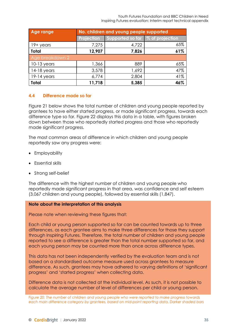Youth Futures Foundation and BBC Children in Need Inspiring Futures evaluation: Interim report technical appendix

<span id="page-34-1"></span>

| Age range       | No. children and young people supported |                                    |     |  |  |  |  |  |
|-----------------|-----------------------------------------|------------------------------------|-----|--|--|--|--|--|
|                 | Projection                              | Supported so far   % of projection |     |  |  |  |  |  |
| $19+$ years     | 7,275                                   | 4,722                              | 65% |  |  |  |  |  |
| <b>Total</b>    | 12,907                                  | 7,826                              | 61% |  |  |  |  |  |
| Age breakdown 2 |                                         |                                    |     |  |  |  |  |  |
| $10-13$ years   | 1,366                                   | 889                                | 65% |  |  |  |  |  |
| $14-18$ years   | 3,578                                   | 1,692                              | 47% |  |  |  |  |  |
| $19-14$ years   | 6,774                                   | 2,804                              | 41% |  |  |  |  |  |
| <b>Total</b>    | 11,718                                  | 5,385                              | 46% |  |  |  |  |  |

#### <span id="page-34-2"></span>**4.4 Difference made so far**

[Figure 21](#page-36-0) below shows the total number of children and young people reported by grantees to have either started progress, or made significant progress, towards each difference type so far. [Figure 22](#page-37-0) displays this data in a table, with figures broken down between those who reportedly started progress and those who reportedly made significant progress.

The most common areas of difference in which children and young people reportedly saw any progress were:

- Employability
- Essential skills
- Strong self-belief

The difference with the highest number of children and young people who reportedly made significant progress in that area, was confidence and self esteem (3,067 children and young people), followed by essential skills (1,847).

#### **Note about the interpretation of this analysis**

Please note when reviewing these figures that:

Each child or young person supported so far can be counted towards up to three differences, as each grantee aims to make three differences for those they support through Inspiring Futures. Therefore, the total number of children and young people reported to see a difference is greater than the total number supported so far, and each young person may be counted more than once across difference types.

This data has not been independently verified by the evaluation team and is not based on a standardised outcome measure used across grantees to measure difference. As such, grantees may have adhered to varying definitions of 'significant progress' and 'started progress' when collecting data.

Difference data is not collected at the individual level. As such, it is not possible to calculate the average number of level of differences per child or young person.

<span id="page-34-0"></span>*Figure 20: The number of children and young people who were reported to make progress towards each main difference category by grantees, based on mid-point reporting data. Darker shaded bars*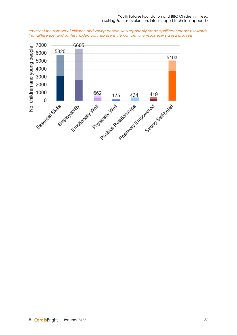*represent the number of children and young people who reportedly made significant progress towards that difference, and lighter shaded bars represent the number who reportedly started progress*

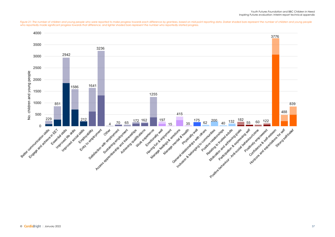Youth Futures Foundation and BBC Children in Need Inspiring Futures evaluation: Interim report technical appendix



<span id="page-36-0"></span>Figure 21: The number of children and young people who were reported to make progress towards each difference by grantees, based on mid-point reporting data. Darker shaded bars represent the number of children and young pe *who reportedly made significant progress towards that difference, and lighter shaded bars represent the number who reportedly started progress.*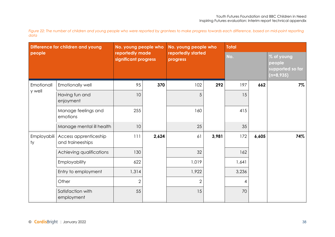*Figure 22: The number of children and young people who were reported by grantees to make progress towards each difference, based on mid-point reporting data*

<span id="page-37-0"></span>

| Difference for children and young |                                           | No. young people who                    |       | No. young people who           |       | <b>Total</b> |       |                                                         |
|-----------------------------------|-------------------------------------------|-----------------------------------------|-------|--------------------------------|-------|--------------|-------|---------------------------------------------------------|
| people                            |                                           | reportedly made<br>significant progress |       | reportedly started<br>progress |       | No.          |       | % of young<br>people<br>supported so far<br>$(n=8,935)$ |
| Emotionall                        | Emotionally well                          | 95                                      | 370   | 102                            | 292   | 197          | 662   | $7\%$                                                   |
| y well                            | Having fun and<br>enjoyment               | 10                                      |       | 5                              |       | 15           |       |                                                         |
|                                   | Manage feelings and<br>emotions           | 255                                     |       | 160                            |       | 415          |       |                                                         |
|                                   | Manage mental ill health                  | 10                                      |       | 25                             |       | 35           |       |                                                         |
| Employabili<br>ty                 | Access apprenticeship<br>and traineeships | 111                                     | 2,624 | 61                             | 3,981 | 172          | 6,605 | 74%                                                     |
|                                   | Achieving qualifications                  | 130                                     |       | 32                             |       | 162          |       |                                                         |
|                                   | Employability                             | 622                                     |       | 1,019                          |       | 1,641        |       |                                                         |
|                                   | Entry to employment                       | 1,314                                   |       | 1,922                          |       | 3,236        |       |                                                         |
|                                   | Other                                     | $\overline{2}$                          |       | $\mathbf{2}$                   |       | 4            |       |                                                         |
|                                   | Satisfaction with<br>employment           | 55                                      |       | 15                             |       | 70           |       |                                                         |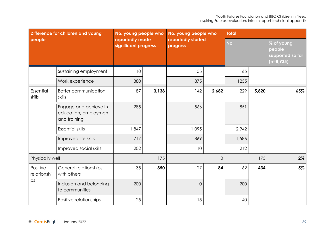| Difference for children and young |                                                                 | No. young people who                    |       | No. young people who           |       | <b>Total</b> |       |                                                         |  |
|-----------------------------------|-----------------------------------------------------------------|-----------------------------------------|-------|--------------------------------|-------|--------------|-------|---------------------------------------------------------|--|
| people                            |                                                                 | reportedly made<br>significant progress |       | reportedly started<br>progress |       | No.          |       | % of young<br>people<br>supported so far<br>$(n=8,935)$ |  |
|                                   | Sustaining employment                                           | 10                                      |       | 55                             |       | 65           |       |                                                         |  |
|                                   | Work experience                                                 | 380                                     |       | 875                            |       | 1255         |       |                                                         |  |
| Essential<br>skills               | Better communication<br>skills                                  | 87                                      | 3,138 | 142                            | 2,682 | 229          | 5,820 | 65%                                                     |  |
|                                   | Engage and achieve in<br>education, employment,<br>and training | 285                                     |       | 566                            |       | 851          |       |                                                         |  |
|                                   | <b>Essential skills</b>                                         | 1,847                                   |       | 1,095                          |       | 2,942        |       |                                                         |  |
|                                   | Improved life skills                                            | 717                                     |       | 869                            |       | 1,586        |       |                                                         |  |
|                                   | Improved social skills                                          | 202                                     |       | 10                             |       | 212          |       |                                                         |  |
| Physically well                   |                                                                 | 175                                     |       | $\Omega$                       |       | 175          |       | $2\%$                                                   |  |
| Positive<br>relationshi<br>ps     | General relationships<br>with others                            | 35                                      | 350   | 27                             | 84    | 62           | 434   | 5%                                                      |  |
|                                   | Inclusion and belonging<br>to communities                       | 200                                     |       | $\overline{0}$                 |       | 200          |       |                                                         |  |
|                                   | Positive relationships                                          | 25                                      |       | 15                             |       | 40           |       |                                                         |  |